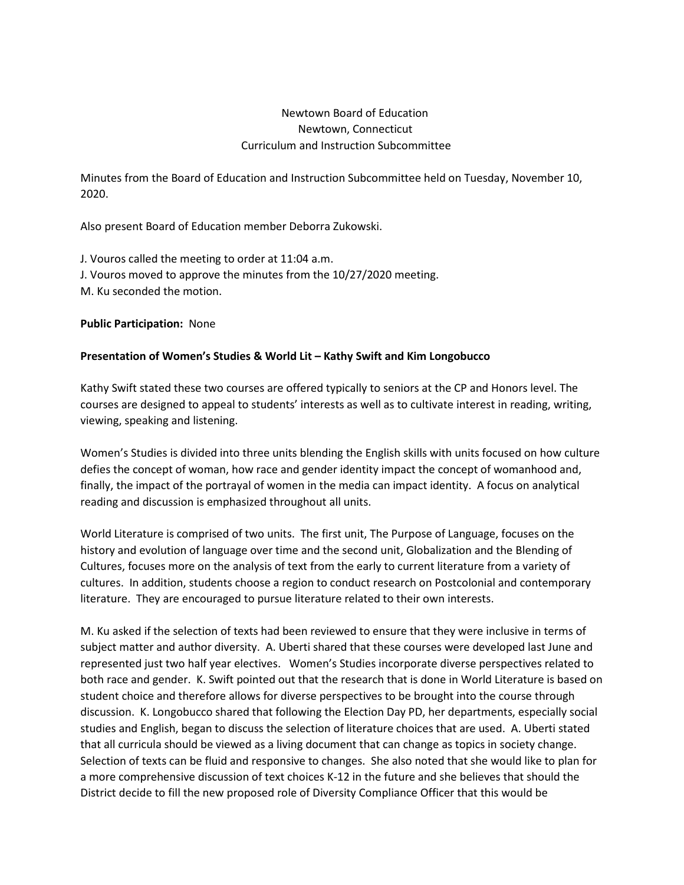# Newtown Board of Education Newtown, Connecticut Curriculum and Instruction Subcommittee

Minutes from the Board of Education and Instruction Subcommittee held on Tuesday, November 10, 2020.

Also present Board of Education member Deborra Zukowski.

J. Vouros called the meeting to order at 11:04 a.m. J. Vouros moved to approve the minutes from the 10/27/2020 meeting. M. Ku seconded the motion.

**Public Participation:** None

## **Presentation of Women's Studies & World Lit – Kathy Swift and Kim Longobucco**

Kathy Swift stated these two courses are offered typically to seniors at the CP and Honors level. The courses are designed to appeal to students' interests as well as to cultivate interest in reading, writing, viewing, speaking and listening.

Women's Studies is divided into three units blending the English skills with units focused on how culture defies the concept of woman, how race and gender identity impact the concept of womanhood and, finally, the impact of the portrayal of women in the media can impact identity. A focus on analytical reading and discussion is emphasized throughout all units.

World Literature is comprised of two units. The first unit, The Purpose of Language, focuses on the history and evolution of language over time and the second unit, Globalization and the Blending of Cultures, focuses more on the analysis of text from the early to current literature from a variety of cultures. In addition, students choose a region to conduct research on Postcolonial and contemporary literature. They are encouraged to pursue literature related to their own interests.

M. Ku asked if the selection of texts had been reviewed to ensure that they were inclusive in terms of subject matter and author diversity. A. Uberti shared that these courses were developed last June and represented just two half year electives. Women's Studies incorporate diverse perspectives related to both race and gender. K. Swift pointed out that the research that is done in World Literature is based on student choice and therefore allows for diverse perspectives to be brought into the course through discussion. K. Longobucco shared that following the Election Day PD, her departments, especially social studies and English, began to discuss the selection of literature choices that are used. A. Uberti stated that all curricula should be viewed as a living document that can change as topics in society change. Selection of texts can be fluid and responsive to changes. She also noted that she would like to plan for a more comprehensive discussion of text choices K-12 in the future and she believes that should the District decide to fill the new proposed role of Diversity Compliance Officer that this would be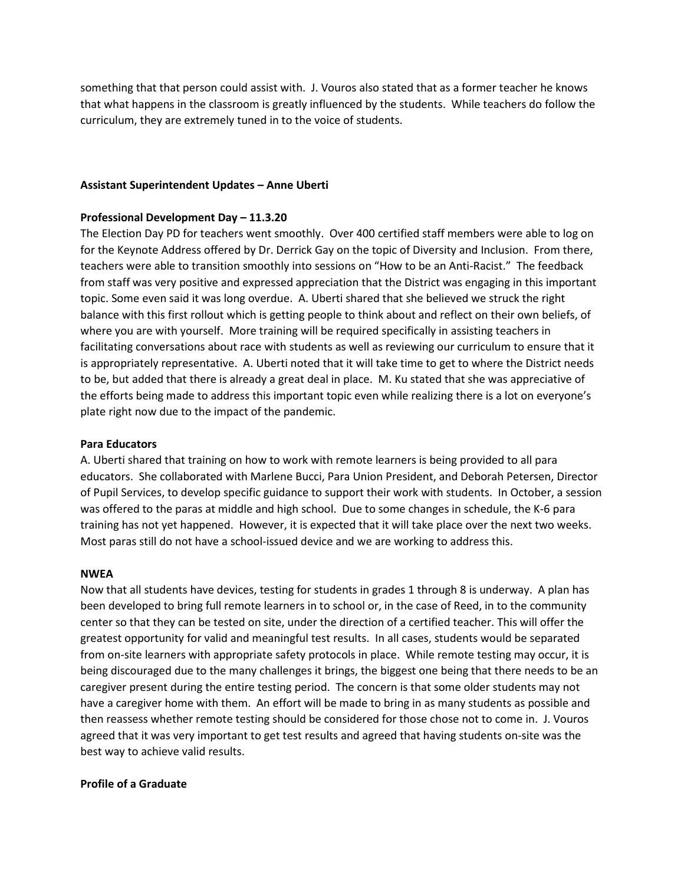something that that person could assist with. J. Vouros also stated that as a former teacher he knows that what happens in the classroom is greatly influenced by the students. While teachers do follow the curriculum, they are extremely tuned in to the voice of students.

### **Assistant Superintendent Updates – Anne Uberti**

#### **Professional Development Day – 11.3.20**

The Election Day PD for teachers went smoothly. Over 400 certified staff members were able to log on for the Keynote Address offered by Dr. Derrick Gay on the topic of Diversity and Inclusion. From there, teachers were able to transition smoothly into sessions on "How to be an Anti-Racist." The feedback from staff was very positive and expressed appreciation that the District was engaging in this important topic. Some even said it was long overdue. A. Uberti shared that she believed we struck the right balance with this first rollout which is getting people to think about and reflect on their own beliefs, of where you are with yourself. More training will be required specifically in assisting teachers in facilitating conversations about race with students as well as reviewing our curriculum to ensure that it is appropriately representative. A. Uberti noted that it will take time to get to where the District needs to be, but added that there is already a great deal in place. M. Ku stated that she was appreciative of the efforts being made to address this important topic even while realizing there is a lot on everyone's plate right now due to the impact of the pandemic.

#### **Para Educators**

A. Uberti shared that training on how to work with remote learners is being provided to all para educators. She collaborated with Marlene Bucci, Para Union President, and Deborah Petersen, Director of Pupil Services, to develop specific guidance to support their work with students. In October, a session was offered to the paras at middle and high school. Due to some changes in schedule, the K-6 para training has not yet happened. However, it is expected that it will take place over the next two weeks. Most paras still do not have a school-issued device and we are working to address this.

#### **NWEA**

Now that all students have devices, testing for students in grades 1 through 8 is underway. A plan has been developed to bring full remote learners in to school or, in the case of Reed, in to the community center so that they can be tested on site, under the direction of a certified teacher. This will offer the greatest opportunity for valid and meaningful test results. In all cases, students would be separated from on-site learners with appropriate safety protocols in place. While remote testing may occur, it is being discouraged due to the many challenges it brings, the biggest one being that there needs to be an caregiver present during the entire testing period. The concern is that some older students may not have a caregiver home with them. An effort will be made to bring in as many students as possible and then reassess whether remote testing should be considered for those chose not to come in. J. Vouros agreed that it was very important to get test results and agreed that having students on-site was the best way to achieve valid results.

### **Profile of a Graduate**